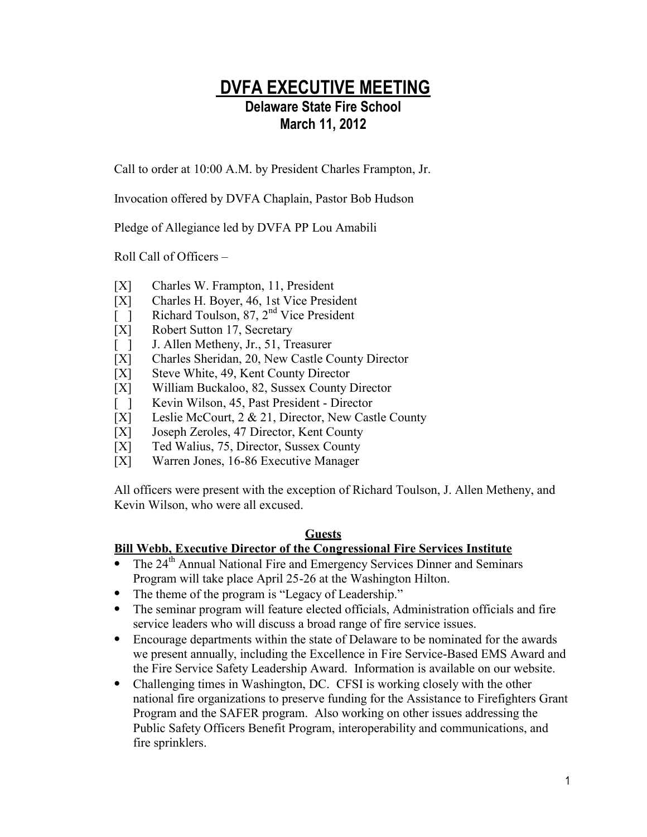## **DVFA EXECUTIVE MEETING Delaware State Fire School March 11, 2012**

Call to order at 10:00 A.M. by President Charles Frampton, Jr.

Invocation offered by DVFA Chaplain, Pastor Bob Hudson

Pledge of Allegiance led by DVFA PP Lou Amabili

Roll Call of Officers –

- [X] Charles W. Frampton, 11, President
- [X] Charles H. Boyer, 46, 1st Vice President
- [  $\overline{)}$  Richard Toulson, 87, 2<sup>nd</sup> Vice President
- [X] Robert Sutton 17, Secretary
- [ ] J. Allen Metheny, Jr., 51, Treasurer
- [X] Charles Sheridan, 20, New Castle County Director
- [X] Steve White, 49, Kent County Director
- [X] William Buckaloo, 82, Sussex County Director
- [ ] Kevin Wilson, 45, Past President Director
- [X] Leslie McCourt, 2 & 21, Director, New Castle County
- [X] Joseph Zeroles, 47 Director, Kent County<br>[X] Ted Walius, 75, Director, Sussex County
- Ted Walius, 75, Director, Sussex County
- [X] Warren Jones, 16-86 Executive Manager

All officers were present with the exception of Richard Toulson, J. Allen Metheny, and Kevin Wilson, who were all excused.

#### **Guests**

## **Bill Webb, Executive Director of the Congressional Fire Services Institute**

- $\bullet$  The 24<sup>th</sup> Annual National Fire and Emergency Services Dinner and Seminars Program will take place April 25-26 at the Washington Hilton.
- The theme of the program is "Legacy of Leadership."
- The seminar program will feature elected officials, Administration officials and fire service leaders who will discuss a broad range of fire service issues.
- Encourage departments within the state of Delaware to be nominated for the awards we present annually, including the Excellence in Fire Service-Based EMS Award and the Fire Service Safety Leadership Award. Information is available on our website.
- Challenging times in Washington, DC. CFSI is working closely with the other national fire organizations to preserve funding for the Assistance to Firefighters Grant Program and the SAFER program. Also working on other issues addressing the Public Safety Officers Benefit Program, interoperability and communications, and fire sprinklers.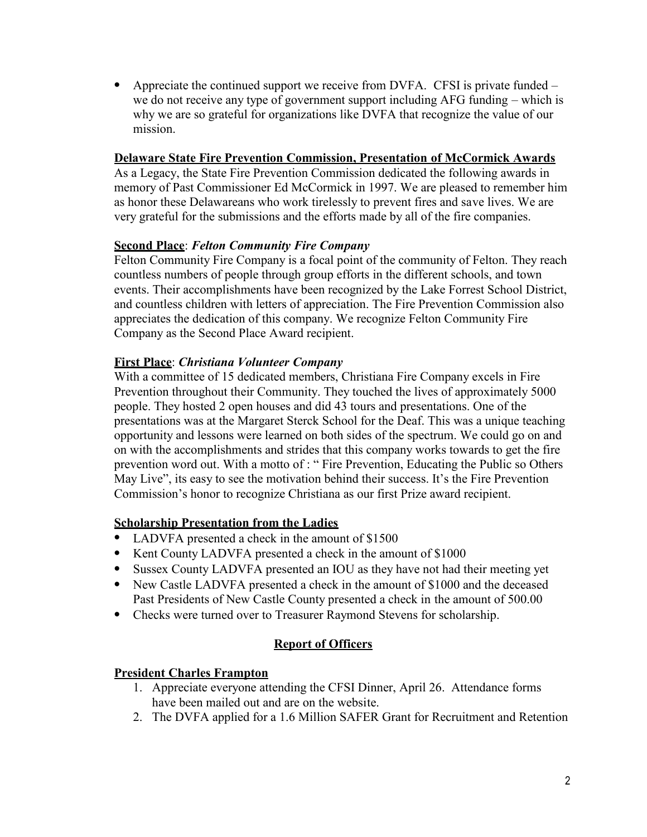• Appreciate the continued support we receive from DVFA. CFSI is private funded – we do not receive any type of government support including AFG funding – which is why we are so grateful for organizations like DVFA that recognize the value of our mission.

#### **Delaware State Fire Prevention Commission, Presentation of McCormick Awards**

As a Legacy, the State Fire Prevention Commission dedicated the following awards in memory of Past Commissioner Ed McCormick in 1997. We are pleased to remember him as honor these Delawareans who work tirelessly to prevent fires and save lives. We are very grateful for the submissions and the efforts made by all of the fire companies.

#### **Second Place**: *Felton Community Fire Company*

Felton Community Fire Company is a focal point of the community of Felton. They reach countless numbers of people through group efforts in the different schools, and town events. Their accomplishments have been recognized by the Lake Forrest School District, and countless children with letters of appreciation. The Fire Prevention Commission also appreciates the dedication of this company. We recognize Felton Community Fire Company as the Second Place Award recipient.

#### **First Place**: *Christiana Volunteer Company*

With a committee of 15 dedicated members, Christiana Fire Company excels in Fire Prevention throughout their Community. They touched the lives of approximately 5000 people. They hosted 2 open houses and did 43 tours and presentations. One of the presentations was at the Margaret Sterck School for the Deaf. This was a unique teaching opportunity and lessons were learned on both sides of the spectrum. We could go on and on with the accomplishments and strides that this company works towards to get the fire prevention word out. With a motto of : " Fire Prevention, Educating the Public so Others May Live", its easy to see the motivation behind their success. It's the Fire Prevention Commission's honor to recognize Christiana as our first Prize award recipient.

#### **Scholarship Presentation from the Ladies**

- LADVFA presented a check in the amount of \$1500
- Kent County LADVFA presented a check in the amount of \$1000
- Sussex County LADVFA presented an IOU as they have not had their meeting yet
- New Castle LADVFA presented a check in the amount of \$1000 and the deceased Past Presidents of New Castle County presented a check in the amount of 500.00
- Checks were turned over to Treasurer Raymond Stevens for scholarship.

#### **Report of Officers**

#### **President Charles Frampton**

- 1. Appreciate everyone attending the CFSI Dinner, April 26. Attendance forms have been mailed out and are on the website.
- 2. The DVFA applied for a 1.6 Million SAFER Grant for Recruitment and Retention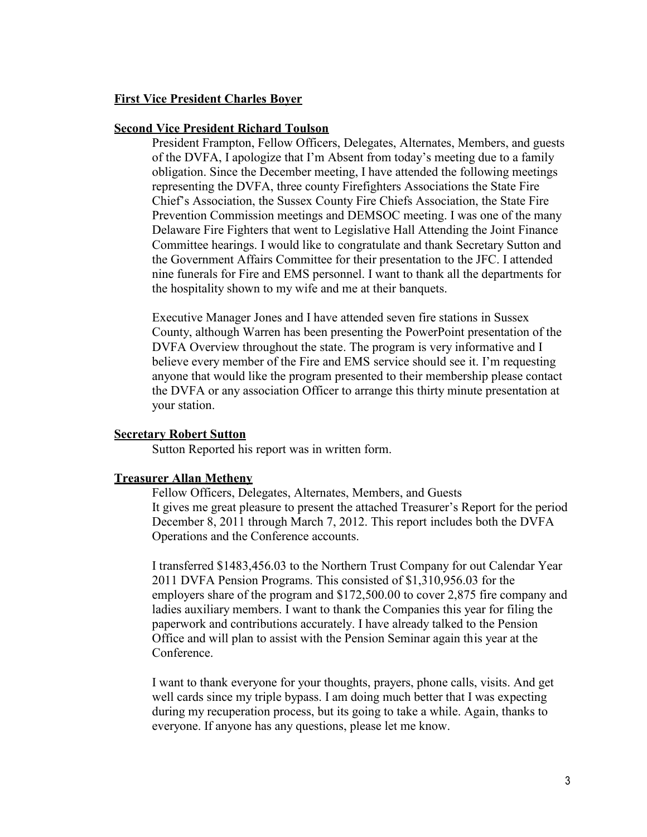#### **First Vice President Charles Boyer**

#### **Second Vice President Richard Toulson**

President Frampton, Fellow Officers, Delegates, Alternates, Members, and guests of the DVFA, I apologize that I'm Absent from today's meeting due to a family obligation. Since the December meeting, I have attended the following meetings representing the DVFA, three county Firefighters Associations the State Fire Chief's Association, the Sussex County Fire Chiefs Association, the State Fire Prevention Commission meetings and DEMSOC meeting. I was one of the many Delaware Fire Fighters that went to Legislative Hall Attending the Joint Finance Committee hearings. I would like to congratulate and thank Secretary Sutton and the Government Affairs Committee for their presentation to the JFC. I attended nine funerals for Fire and EMS personnel. I want to thank all the departments for the hospitality shown to my wife and me at their banquets.

Executive Manager Jones and I have attended seven fire stations in Sussex County, although Warren has been presenting the PowerPoint presentation of the DVFA Overview throughout the state. The program is very informative and I believe every member of the Fire and EMS service should see it. I'm requesting anyone that would like the program presented to their membership please contact the DVFA or any association Officer to arrange this thirty minute presentation at your station.

#### **Secretary Robert Sutton**

Sutton Reported his report was in written form.

#### **Treasurer Allan Metheny**

Fellow Officers, Delegates, Alternates, Members, and Guests It gives me great pleasure to present the attached Treasurer's Report for the period December 8, 2011 through March 7, 2012. This report includes both the DVFA Operations and the Conference accounts.

I transferred \$1483,456.03 to the Northern Trust Company for out Calendar Year 2011 DVFA Pension Programs. This consisted of \$1,310,956.03 for the employers share of the program and \$172,500.00 to cover 2,875 fire company and ladies auxiliary members. I want to thank the Companies this year for filing the paperwork and contributions accurately. I have already talked to the Pension Office and will plan to assist with the Pension Seminar again this year at the Conference.

I want to thank everyone for your thoughts, prayers, phone calls, visits. And get well cards since my triple bypass. I am doing much better that I was expecting during my recuperation process, but its going to take a while. Again, thanks to everyone. If anyone has any questions, please let me know.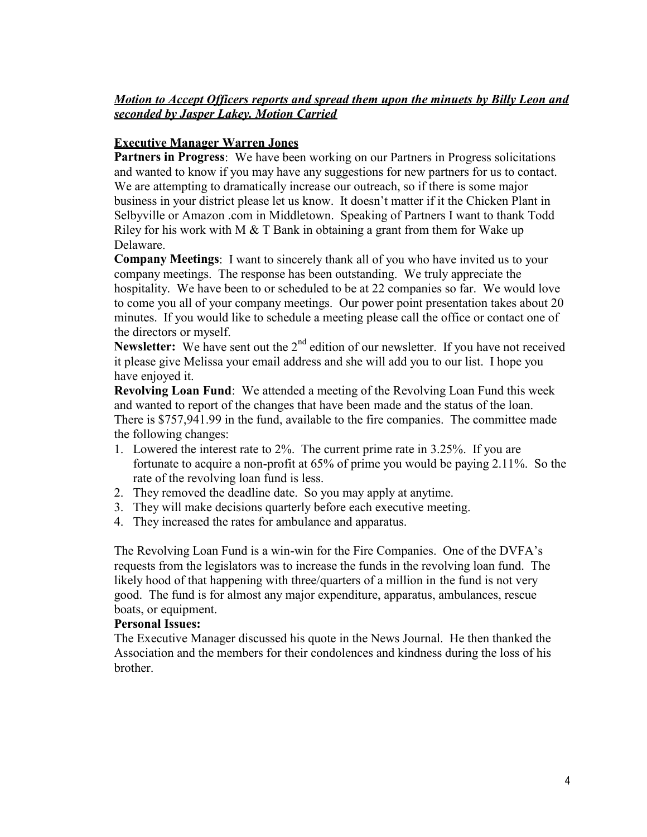## *Motion to Accept Officers reports and spread them upon the minuets by Billy Leon and seconded by Jasper Lakey. Motion Carried*

## **Executive Manager Warren Jones**

**Partners in Progress**: We have been working on our Partners in Progress solicitations and wanted to know if you may have any suggestions for new partners for us to contact. We are attempting to dramatically increase our outreach, so if there is some major business in your district please let us know. It doesn't matter if it the Chicken Plant in Selbyville or Amazon .com in Middletown. Speaking of Partners I want to thank Todd Riley for his work with M  $&$  T Bank in obtaining a grant from them for Wake up Delaware.

**Company Meetings**: I want to sincerely thank all of you who have invited us to your company meetings. The response has been outstanding. We truly appreciate the hospitality. We have been to or scheduled to be at 22 companies so far. We would love to come you all of your company meetings. Our power point presentation takes about 20 minutes. If you would like to schedule a meeting please call the office or contact one of the directors or myself.

**Newsletter:** We have sent out the 2<sup>nd</sup> edition of our newsletter. If you have not received it please give Melissa your email address and she will add you to our list. I hope you have enjoyed it.

**Revolving Loan Fund**: We attended a meeting of the Revolving Loan Fund this week and wanted to report of the changes that have been made and the status of the loan. There is \$757,941.99 in the fund, available to the fire companies. The committee made the following changes:

- 1. Lowered the interest rate to 2%. The current prime rate in 3.25%. If you are fortunate to acquire a non-profit at 65% of prime you would be paying 2.11%. So the rate of the revolving loan fund is less.
- 2. They removed the deadline date. So you may apply at anytime.
- 3. They will make decisions quarterly before each executive meeting.
- 4. They increased the rates for ambulance and apparatus.

The Revolving Loan Fund is a win-win for the Fire Companies. One of the DVFA's requests from the legislators was to increase the funds in the revolving loan fund. The likely hood of that happening with three/quarters of a million in the fund is not very good. The fund is for almost any major expenditure, apparatus, ambulances, rescue boats, or equipment.

#### **Personal Issues:**

The Executive Manager discussed his quote in the News Journal. He then thanked the Association and the members for their condolences and kindness during the loss of his brother.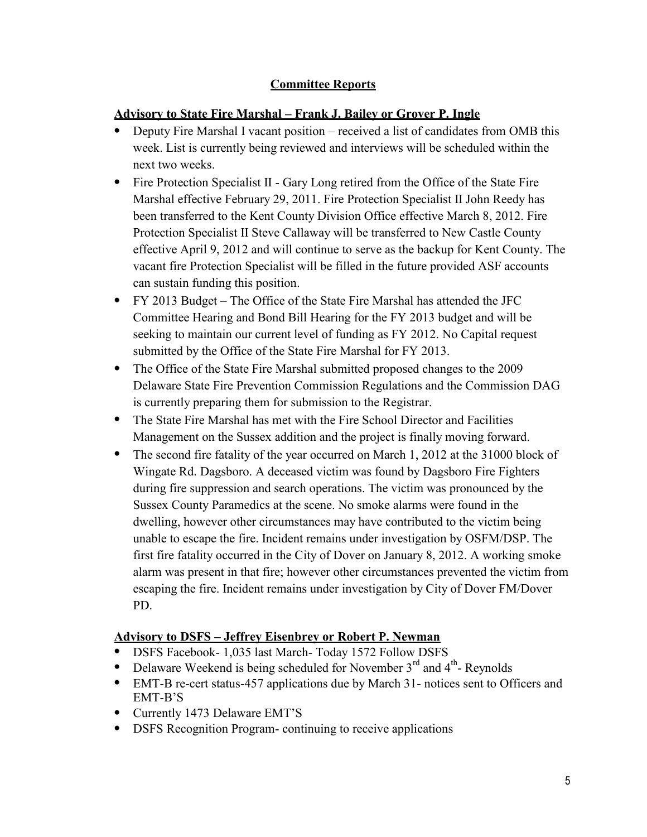## **Committee Reports**

## **Advisory to State Fire Marshal – Frank J. Bailey or Grover P. Ingle**

- Deputy Fire Marshal I vacant position received a list of candidates from OMB this week. List is currently being reviewed and interviews will be scheduled within the next two weeks.
- Fire Protection Specialist II Gary Long retired from the Office of the State Fire Marshal effective February 29, 2011. Fire Protection Specialist II John Reedy has been transferred to the Kent County Division Office effective March 8, 2012. Fire Protection Specialist II Steve Callaway will be transferred to New Castle County effective April 9, 2012 and will continue to serve as the backup for Kent County. The vacant fire Protection Specialist will be filled in the future provided ASF accounts can sustain funding this position.
- FY 2013 Budget The Office of the State Fire Marshal has attended the JFC Committee Hearing and Bond Bill Hearing for the FY 2013 budget and will be seeking to maintain our current level of funding as FY 2012. No Capital request submitted by the Office of the State Fire Marshal for FY 2013.
- The Office of the State Fire Marshal submitted proposed changes to the 2009 Delaware State Fire Prevention Commission Regulations and the Commission DAG is currently preparing them for submission to the Registrar.
- The State Fire Marshal has met with the Fire School Director and Facilities Management on the Sussex addition and the project is finally moving forward.
- The second fire fatality of the year occurred on March 1, 2012 at the 31000 block of Wingate Rd. Dagsboro. A deceased victim was found by Dagsboro Fire Fighters during fire suppression and search operations. The victim was pronounced by the Sussex County Paramedics at the scene. No smoke alarms were found in the dwelling, however other circumstances may have contributed to the victim being unable to escape the fire. Incident remains under investigation by OSFM/DSP. The first fire fatality occurred in the City of Dover on January 8, 2012. A working smoke alarm was present in that fire; however other circumstances prevented the victim from escaping the fire. Incident remains under investigation by City of Dover FM/Dover PD.

## **Advisory to DSFS – Jeffrey Eisenbrey or Robert P. Newman**

- DSFS Facebook- 1,035 last March- Today 1572 Follow DSFS
- Delaware Weekend is being scheduled for November  $3<sup>rd</sup>$  and  $4<sup>th</sup>$  Reynolds
- EMT-B re-cert status-457 applications due by March 31- notices sent to Officers and EMT-B'S
- Currently 1473 Delaware EMT'S
- DSFS Recognition Program- continuing to receive applications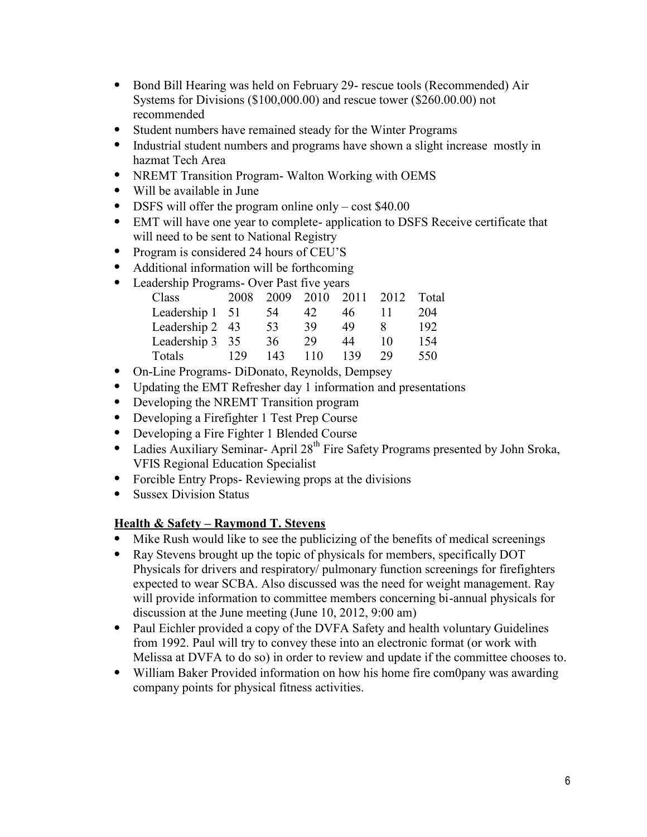- Bond Bill Hearing was held on February 29- rescue tools (Recommended) Air Systems for Divisions (\$100,000.00) and rescue tower (\$260.00.00) not recommended
- Student numbers have remained steady for the Winter Programs
- Industrial student numbers and programs have shown a slight increase mostly in hazmat Tech Area
- NREMT Transition Program- Walton Working with OEMS
- Will be available in June
- DSFS will offer the program online only cost \$40.00
- EMT will have one year to complete- application to DSFS Receive certificate that will need to be sent to National Registry
- Program is considered 24 hours of CEU'S
- Additional information will be forthcoming
- Leadership Programs- Over Past five years

| Class                   |     |         |    | 2008 2009 2010 2011 2012 Total |    |     |
|-------------------------|-----|---------|----|--------------------------------|----|-----|
| Leadership $1 \quad 51$ |     | 54      | 42 | 46                             |    | 204 |
| Leadership 2 43         |     | - 53    | 39 | 49                             |    | 192 |
| Leadership 3 35         |     | 36      | 29 | 44                             | 10 | 154 |
| Totals                  | 129 | 143 110 |    | 139                            | 29 | 550 |

- On-Line Programs- DiDonato, Reynolds, Dempsey
- Updating the EMT Refresher day 1 information and presentations
- Developing the NREMT Transition program
- Developing a Firefighter 1 Test Prep Course
- Developing a Fire Fighter 1 Blended Course
- Ladies Auxiliary Seminar- April 28<sup>th</sup> Fire Safety Programs presented by John Sroka, VFIS Regional Education Specialist
- Forcible Entry Props- Reviewing props at the divisions
- Sussex Division Status

## **Health & Safety – Raymond T. Stevens**

- Mike Rush would like to see the publicizing of the benefits of medical screenings
- Ray Stevens brought up the topic of physicals for members, specifically DOT Physicals for drivers and respiratory/ pulmonary function screenings for firefighters expected to wear SCBA. Also discussed was the need for weight management. Ray will provide information to committee members concerning bi-annual physicals for discussion at the June meeting (June 10, 2012, 9:00 am)
- Paul Eichler provided a copy of the DVFA Safety and health voluntary Guidelines from 1992. Paul will try to convey these into an electronic format (or work with Melissa at DVFA to do so) in order to review and update if the committee chooses to.
- William Baker Provided information on how his home fire com0pany was awarding company points for physical fitness activities.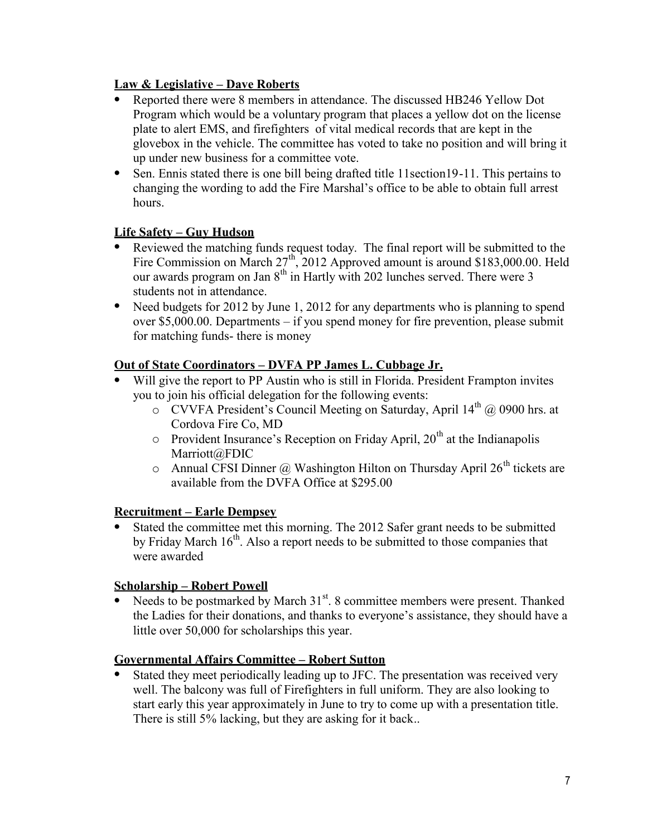## **Law & Legislative – Dave Roberts**

- Reported there were 8 members in attendance. The discussed HB246 Yellow Dot Program which would be a voluntary program that places a yellow dot on the license plate to alert EMS, and firefighters of vital medical records that are kept in the glovebox in the vehicle. The committee has voted to take no position and will bring it up under new business for a committee vote.
- Sen. Ennis stated there is one bill being drafted title 11section19-11. This pertains to changing the wording to add the Fire Marshal's office to be able to obtain full arrest hours.

## **Life Safety – Guy Hudson**

- Reviewed the matching funds request today. The final report will be submitted to the Fire Commission on March 27<sup>th</sup>, 2012 Approved amount is around \$183,000.00. Held our awards program on Jan  $8<sup>th</sup>$  in Hartly with 202 lunches served. There were 3 students not in attendance.
- Need budgets for 2012 by June 1, 2012 for any departments who is planning to spend over \$5,000.00. Departments – if you spend money for fire prevention, please submit for matching funds- there is money

## **Out of State Coordinators – DVFA PP James L. Cubbage Jr.**

- Will give the report to PP Austin who is still in Florida. President Frampton invites you to join his official delegation for the following events:
	- o CVVFA President's Council Meeting on Saturday, April 14<sup>th</sup> @ 0900 hrs. at Cordova Fire Co, MD
	- $\circ$  Provident Insurance's Reception on Friday April, 20<sup>th</sup> at the Indianapolis Marriott@FDIC
	- o Annual CFSI Dinner @ Washington Hilton on Thursday April 26<sup>th</sup> tickets are available from the DVFA Office at \$295.00

#### **Recruitment – Earle Dempsey**

 Stated the committee met this morning. The 2012 Safer grant needs to be submitted by Friday March  $16<sup>th</sup>$ . Also a report needs to be submitted to those companies that were awarded

#### **Scholarship – Robert Powell**

• Needs to be postmarked by March  $31<sup>st</sup>$ . 8 committee members were present. Thanked the Ladies for their donations, and thanks to everyone's assistance, they should have a little over 50,000 for scholarships this year.

#### **Governmental Affairs Committee – Robert Sutton**

 Stated they meet periodically leading up to JFC. The presentation was received very well. The balcony was full of Firefighters in full uniform. They are also looking to start early this year approximately in June to try to come up with a presentation title. There is still 5% lacking, but they are asking for it back..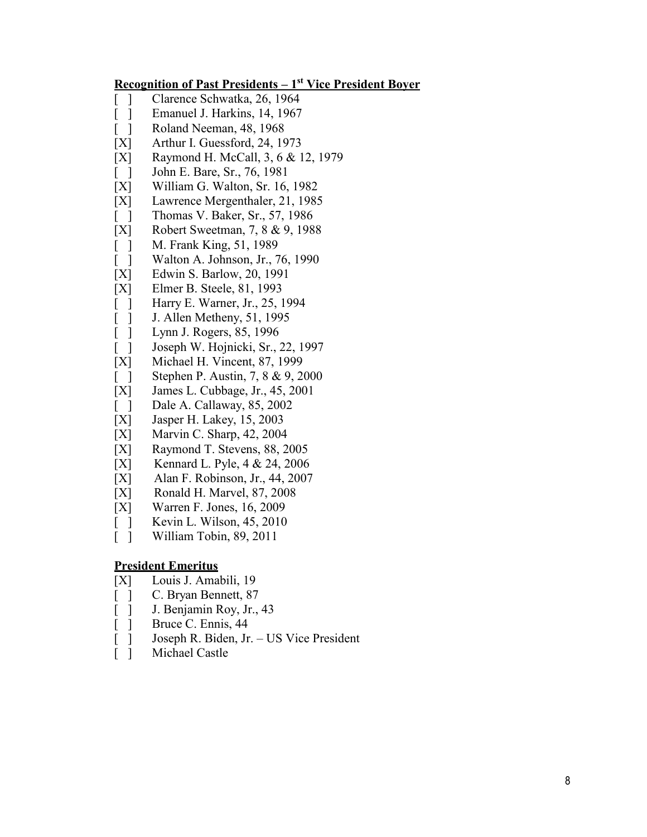#### **Recognition of Past Presidents – 1st Vice President Boyer**

- [ ] Clarence Schwatka, 26, 1964
- [ ] Emanuel J. Harkins, 14, 1967
- [ ] Roland Neeman, 48, 1968
- [X] Arthur I. Guessford, 24, 1973
- [X] Raymond H. McCall, 3, 6 & 12, 1979
- [ ] John E. Bare, Sr., 76, 1981
- [X] William G. Walton, Sr. 16, 1982
- [X] Lawrence Mergenthaler, 21, 1985
- [ ] Thomas V. Baker, Sr., 57, 1986
- [X] Robert Sweetman, 7, 8 & 9, 1988
- [ ] M. Frank King, 51, 1989<br>[ ] Walton A. Johnson, Jr., 7
- Walton A. Johnson, Jr., 76, 1990
- [X] Edwin S. Barlow, 20, 1991
- [X] Elmer B. Steele, 81, 1993
- [ ] Harry E. Warner, Jr., 25, 1994
- [ ] J. Allen Metheny, 51, 1995<br>[ ] Lynn J. Rogers, 85, 1996
- Lynn J. Rogers, 85, 1996
- [ ] Joseph W. Hojnicki, Sr., 22, 1997
- [X] Michael H. Vincent, 87, 1999
- [ ] Stephen P. Austin, 7, 8 & 9, 2000
- [X] James L. Cubbage, Jr., 45, 2001
- [ ] Dale A. Callaway, 85, 2002
- [X] Jasper H. Lakey, 15, 2003
- [X] Marvin C. Sharp, 42, 2004
- [X] Raymond T. Stevens, 88, 2005
- [X] Kennard L. Pyle, 4 & 24, 2006
- [X] Alan F. Robinson, Jr., 44, 2007
- [X] Ronald H. Marvel, 87, 2008
- [X] Warren F. Jones, 16, 2009
- [ ] Kevin L. Wilson, 45, 2010
- [ ] William Tobin, 89, 2011

#### **President Emeritus**

- [X] Louis J. Amabili, 19
- [ ] C. Bryan Bennett, 87
- [ ] J. Benjamin Roy, Jr., 43<br>[ ] Bruce C. Ennis, 44
- 
- [ ] Bruce C. Ennis, 44<br>[ ] Joseph R. Biden, Jr<br>[ ] Michael Castle [ ] Joseph R. Biden, Jr. – US Vice President
- Michael Castle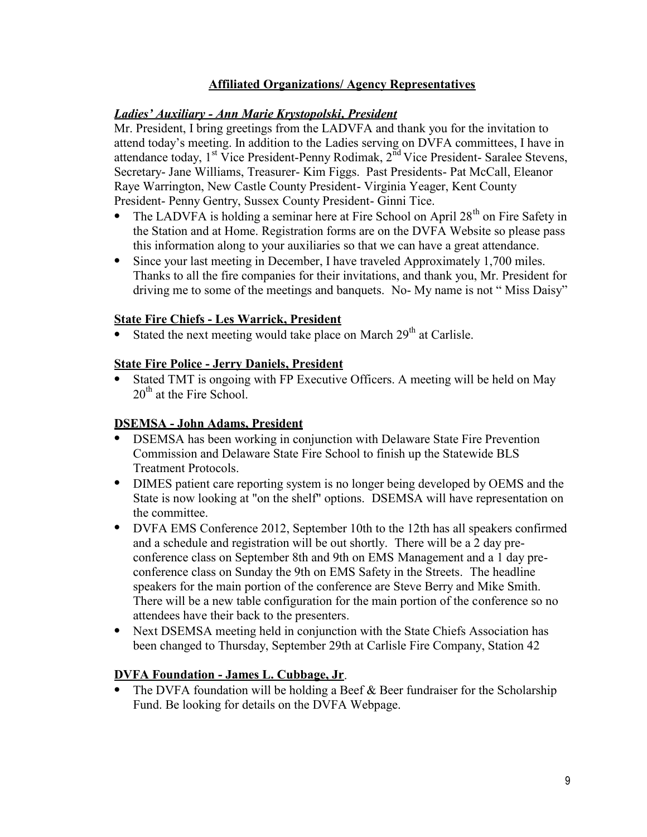#### **Affiliated Organizations/ Agency Representatives**

#### *Ladies' Auxiliary - Ann Marie Krystopolski, President*

Mr. President, I bring greetings from the LADVFA and thank you for the invitation to attend today's meeting. In addition to the Ladies serving on DVFA committees, I have in attendance today,  $1^{st}$  Vice President-Penny Rodimak,  $2^{nd}$  Vice President- Saralee Stevens, Secretary- Jane Williams, Treasurer- Kim Figgs. Past Presidents- Pat McCall, Eleanor Raye Warrington, New Castle County President- Virginia Yeager, Kent County President- Penny Gentry, Sussex County President- Ginni Tice.

- The LADVFA is holding a seminar here at Fire School on April  $28<sup>th</sup>$  on Fire Safety in the Station and at Home. Registration forms are on the DVFA Website so please pass this information along to your auxiliaries so that we can have a great attendance.
- Since your last meeting in December, I have traveled Approximately 1,700 miles. Thanks to all the fire companies for their invitations, and thank you, Mr. President for driving me to some of the meetings and banquets. No- My name is not " Miss Daisy"

## **State Fire Chiefs - Les Warrick, President**

Stated the next meeting would take place on March  $29<sup>th</sup>$  at Carlisle.

## **State Fire Police - Jerry Daniels, President**

 Stated TMT is ongoing with FP Executive Officers. A meeting will be held on May  $20<sup>th</sup>$  at the Fire School.

## **DSEMSA - John Adams, President**

- DSEMSA has been working in conjunction with Delaware State Fire Prevention Commission and Delaware State Fire School to finish up the Statewide BLS Treatment Protocols.
- DIMES patient care reporting system is no longer being developed by OEMS and the State is now looking at "on the shelf" options. DSEMSA will have representation on the committee.
- DVFA EMS Conference 2012, September 10th to the 12th has all speakers confirmed and a schedule and registration will be out shortly. There will be a 2 day pre conference class on September 8th and 9th on EMS Management and a 1 day pre conference class on Sunday the 9th on EMS Safety in the Streets. The headline speakers for the main portion of the conference are Steve Berry and Mike Smith. There will be a new table configuration for the main portion of the conference so no attendees have their back to the presenters.
- Next DSEMSA meeting held in conjunction with the State Chiefs Association has been changed to Thursday, September 29th at Carlisle Fire Company, Station 42

## **DVFA Foundation - James L. Cubbage, Jr**.

• The DVFA foundation will be holding a Beef  $&$  Beer fundraiser for the Scholarship Fund. Be looking for details on the DVFA Webpage.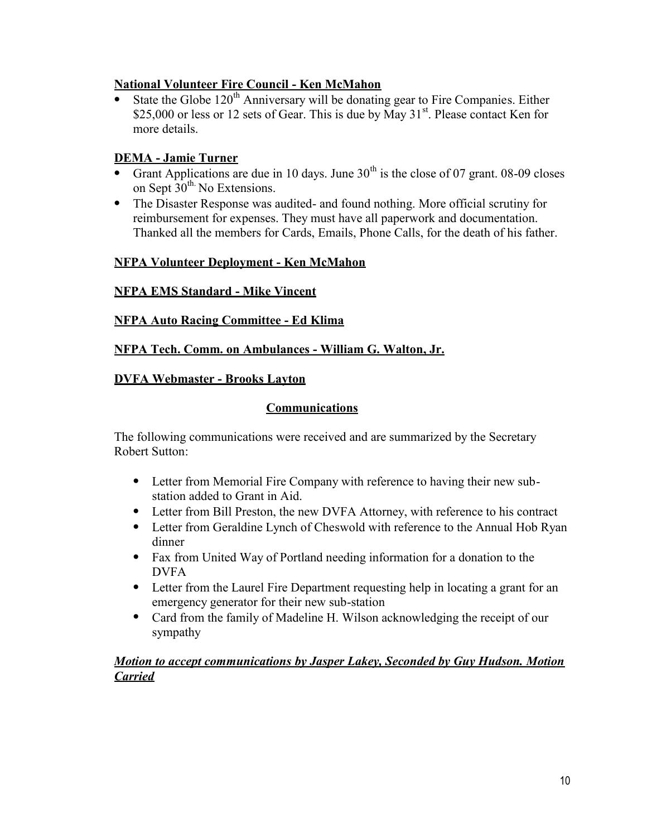#### **National Volunteer Fire Council - Ken McMahon**

State the Globe  $120<sup>th</sup>$  Anniversary will be donating gear to Fire Companies. Either \$25,000 or less or 12 sets of Gear. This is due by  $\widetilde{May}$  31<sup>st</sup>. Please contact Ken for more details.

## **DEMA - Jamie Turner**

- Grant Applications are due in 10 days. June  $30<sup>th</sup>$  is the close of 07 grant. 08-09 closes on Sept  $30<sup>th</sup>$ . No Extensions.
- The Disaster Response was audited- and found nothing. More official scrutiny for reimbursement for expenses. They must have all paperwork and documentation. Thanked all the members for Cards, Emails, Phone Calls, for the death of his father.

## **NFPA Volunteer Deployment - Ken McMahon**

## **NFPA EMS Standard - Mike Vincent**

#### **NFPA Auto Racing Committee - Ed Klima**

## **NFPA Tech. Comm. on Ambulances - William G. Walton, Jr.**

#### **DVFA Webmaster - Brooks Layton**

## **Communications**

The following communications were received and are summarized by the Secretary Robert Sutton:

- Letter from Memorial Fire Company with reference to having their new sub station added to Grant in Aid.
- Letter from Bill Preston, the new DVFA Attorney, with reference to his contract
- Letter from Geraldine Lynch of Cheswold with reference to the Annual Hob Ryan dinner
- Fax from United Way of Portland needing information for a donation to the DVFA
- Letter from the Laurel Fire Department requesting help in locating a grant for an emergency generator for their new sub-station
- Card from the family of Madeline H. Wilson acknowledging the receipt of our sympathy

#### *Motion to accept communications by Jasper Lakey, Seconded by Guy Hudson. Motion Carried*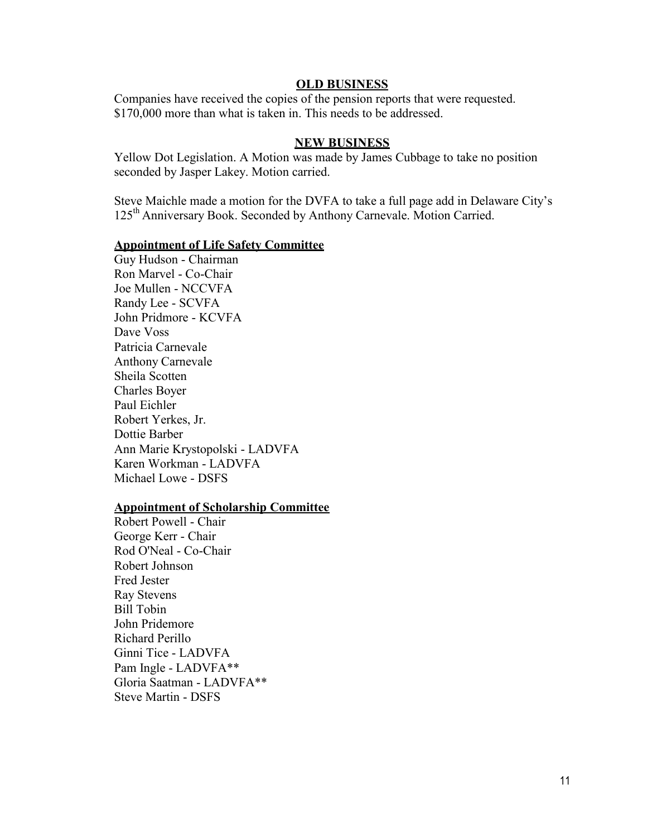#### **OLD BUSINESS**

Companies have received the copies of the pension reports that were requested. \$170,000 more than what is taken in. This needs to be addressed.

#### **NEW BUSINESS**

Yellow Dot Legislation. A Motion was made by James Cubbage to take no position seconded by Jasper Lakey. Motion carried.

Steve Maichle made a motion for the DVFA to take a full page add in Delaware City's 125<sup>th</sup> Anniversary Book. Seconded by Anthony Carnevale. Motion Carried.

#### **Appointment of Life Safety Committee**

Guy Hudson - Chairman Ron Marvel - Co-Chair Joe Mullen - NCCVFA Randy Lee - SCVFA John Pridmore - KCVFA Dave Voss Patricia Carnevale Anthony Carnevale Sheila Scotten Charles Boyer Paul Eichler Robert Yerkes, Jr. Dottie Barber Ann Marie Krystopolski - LADVFA Karen Workman - LADVFA Michael Lowe - DSFS

#### **Appointment of Scholarship Committee**

Robert Powell - Chair George Kerr - Chair Rod O'Neal - Co-Chair Robert Johnson Fred Jester Ray Stevens Bill Tobin John Pridemore Richard Perillo Ginni Tice - LADVFA Pam Ingle - LADVFA\*\* Gloria Saatman - LADVFA\*\* Steve Martin - DSFS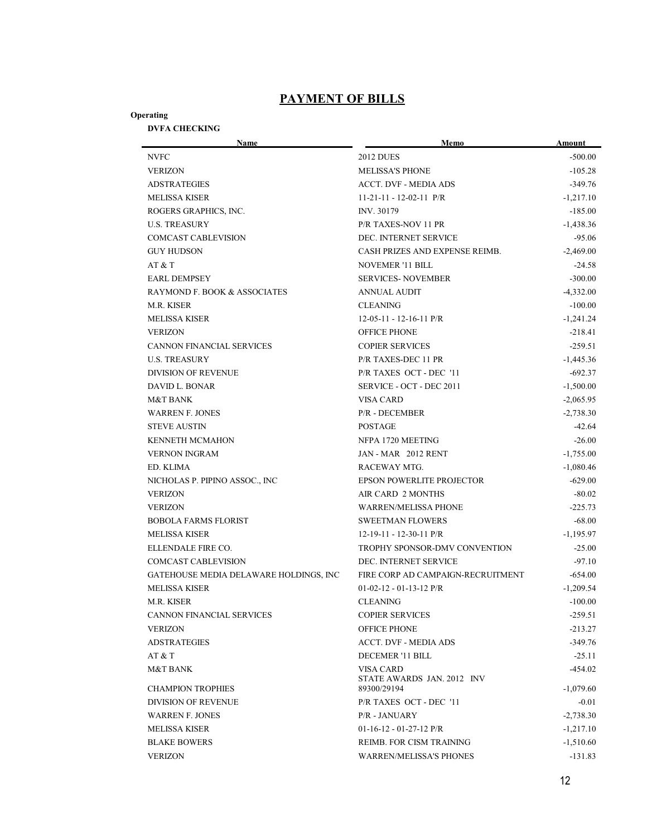## **PAYMENT OF BILLS**

#### **Operating**

# **DVFA CHECKING**

| Name                                   | Memo                                           | Amount      |
|----------------------------------------|------------------------------------------------|-------------|
| <b>NVFC</b>                            | <b>2012 DUES</b>                               | $-500.00$   |
| <b>VERIZON</b>                         | <b>MELISSA'S PHONE</b>                         | $-105.28$   |
| <b>ADSTRATEGIES</b>                    | <b>ACCT. DVF - MEDIA ADS</b>                   | $-349.76$   |
| <b>MELISSA KISER</b>                   | $11-21-11 - 12-02-11$ P/R                      | $-1,217.10$ |
| ROGERS GRAPHICS, INC.                  | INV. 30179                                     | $-185.00$   |
| <b>U.S. TREASURY</b>                   | P/R TAXES-NOV 11 PR                            | $-1,438.36$ |
| <b>COMCAST CABLEVISION</b>             | DEC. INTERNET SERVICE                          | $-95.06$    |
| <b>GUY HUDSON</b>                      | CASH PRIZES AND EXPENSE REIMB.                 | $-2,469.00$ |
| AT & T                                 | <b>NOVEMER '11 BILL</b>                        | $-24.58$    |
| <b>EARL DEMPSEY</b>                    | <b>SERVICES-NOVEMBER</b>                       | $-300.00$   |
| RAYMOND F. BOOK & ASSOCIATES           | <b>ANNUAL AUDIT</b>                            | $-4,332.00$ |
| M.R. KISER                             | <b>CLEANING</b>                                | $-100.00$   |
| <b>MELISSA KISER</b>                   | $12-05-11 - 12-16-11$ P/R                      | $-1,241.24$ |
| <b>VERIZON</b>                         | <b>OFFICE PHONE</b>                            | $-218.41$   |
| CANNON FINANCIAL SERVICES              | <b>COPIER SERVICES</b>                         | $-259.51$   |
| <b>U.S. TREASURY</b>                   | P/R TAXES-DEC 11 PR                            | $-1,445.36$ |
| <b>DIVISION OF REVENUE</b>             | P/R TAXES OCT - DEC '11                        | $-692.37$   |
| DAVID L. BONAR                         | SERVICE - OCT - DEC 2011                       | $-1,500.00$ |
| M&T BANK                               | <b>VISA CARD</b>                               | $-2,065.95$ |
| <b>WARREN F. JONES</b>                 | <b>P/R - DECEMBER</b>                          | $-2,738.30$ |
| <b>STEVE AUSTIN</b>                    | <b>POSTAGE</b>                                 | $-42.64$    |
| <b>KENNETH MCMAHON</b>                 | NFPA 1720 MEETING                              | $-26.00$    |
| <b>VERNON INGRAM</b>                   | JAN - MAR 2012 RENT                            | $-1,755.00$ |
| ED. KLIMA                              | RACEWAY MTG.                                   | $-1,080.46$ |
| NICHOLAS P. PIPINO ASSOC., INC         | <b>EPSON POWERLITE PROJECTOR</b>               | $-629.00$   |
| <b>VERIZON</b>                         | <b>AIR CARD 2 MONTHS</b>                       | $-80.02$    |
| <b>VERIZON</b>                         | <b>WARREN/MELISSA PHONE</b>                    | $-225.73$   |
| <b>BOBOLA FARMS FLORIST</b>            | <b>SWEETMAN FLOWERS</b>                        | $-68.00$    |
| <b>MELISSA KISER</b>                   | $12-19-11 - 12-30-11$ P/R                      | $-1,195.97$ |
| ELLENDALE FIRE CO.                     | TROPHY SPONSOR-DMV CONVENTION                  | $-25.00$    |
| <b>COMCAST CABLEVISION</b>             | DEC. INTERNET SERVICE                          | $-97.10$    |
| GATEHOUSE MEDIA DELAWARE HOLDINGS, INC | FIRE CORP AD CAMPAIGN-RECRUITMENT              | $-654.00$   |
| <b>MELISSA KISER</b>                   | $01-02-12 - 01-13-12$ P/R                      | $-1,209.54$ |
| M.R. KISER                             | <b>CLEANING</b>                                | $-100.00$   |
| CANNON FINANCIAL SERVICES              | <b>COPIER SERVICES</b>                         | $-259.51$   |
| <b>VERIZON</b>                         | <b>OFFICE PHONE</b>                            | $-213.27$   |
| <b>ADSTRATEGIES</b>                    | <b>ACCT. DVF - MEDIA ADS</b>                   | $-349.76$   |
| AT & T                                 | DECEMER '11 BILL                               | $-25.11$    |
| <b>M&amp;T BANK</b>                    | <b>VISA CARD</b><br>STATE AWARDS JAN. 2012 INV | $-454.02$   |
| <b>CHAMPION TROPHIES</b>               | 89300/29194                                    | $-1.079.60$ |
| <b>DIVISION OF REVENUE</b>             | P/R TAXES OCT - DEC '11                        | $-0.01$     |
| <b>WARREN F. JONES</b>                 | <b>P/R - JANUARY</b>                           | $-2,738.30$ |
| <b>MELISSA KISER</b>                   | $01-16-12 - 01-27-12$ P/R                      | $-1,217.10$ |
| <b>BLAKE BOWERS</b>                    | REIMB. FOR CISM TRAINING                       | $-1,510.60$ |
| <b>VERIZON</b>                         | <b>WARREN/MELISSA'S PHONES</b>                 | $-131.83$   |